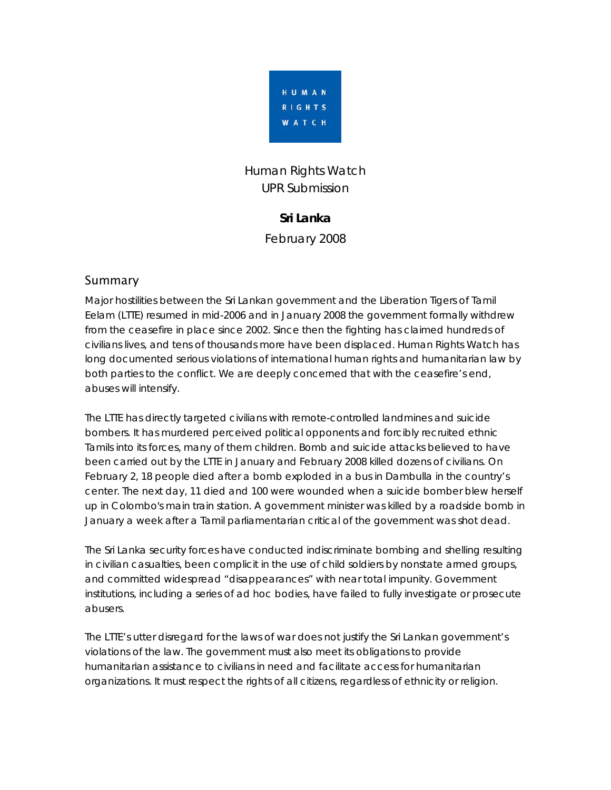

# Human Rights Watch UPR Submission

#### **Sri Lanka**

February 2008

### Summary

Major hostilities between the Sri Lankan government and the Liberation Tigers of Tamil Eelam (LTTE) resumed in mid-2006 and in January 2008 the government formally withdrew from the ceasefire in place since 2002. Since then the fighting has claimed hundreds of civilians lives, and tens of thousands more have been displaced. Human Rights Watch has long documented serious violations of international human rights and humanitarian law by both parties to the conflict. We are deeply concerned that with the ceasefire's end, abuses will intensify.

The LTTE has directly targeted civilians with remote-controlled landmines and suicide bombers. It has murdered perceived political opponents and forcibly recruited ethnic Tamils into its forces, many of them children. Bomb and suicide attacks believed to have been carried out by the LTTE in January and February 2008 killed dozens of civilians. On February 2, 18 people died after a bomb exploded in a bus in Dambulla in the country's center. The next day, 11 died and 100 were wounded when a suicide bomber blew herself up in Colombo's main train station. A government minister was killed by a roadside bomb in January a week after a Tamil parliamentarian critical of the government was shot dead.

The Sri Lanka security forces have conducted indiscriminate bombing and shelling resulting in civilian casualties, been complicit in the use of child soldiers by nonstate armed groups, and committed widespread "disappearances" with near total impunity. Government institutions, including a series of ad hoc bodies, have failed to fully investigate or prosecute abusers.

The LTTE's utter disregard for the laws of war does not justify the Sri Lankan government's violations of the law. The government must also meet its obligations to provide humanitarian assistance to civilians in need and facilitate access for humanitarian organizations. It must respect the rights of all citizens, regardless of ethnicity or religion.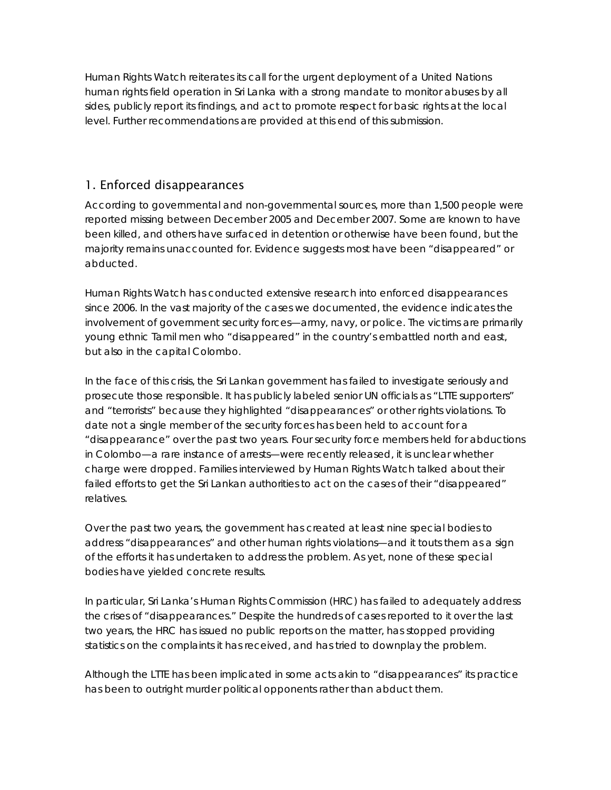Human Rights Watch reiterates its call for the urgent deployment of a United Nations human rights field operation in Sri Lanka with a strong mandate to monitor abuses by all sides, publicly report its findings, and act to promote respect for basic rights at the local level. Further recommendations are provided at this end of this submission.

### 1. Enforced disappearances

According to governmental and non-governmental sources, more than 1,500 people were reported missing between December 2005 and December 2007. Some are known to have been killed, and others have surfaced in detention or otherwise have been found, but the majority remains unaccounted for. Evidence suggests most have been "disappeared" or abducted.

Human Rights Watch has conducted extensive research into enforced disappearances since 2006. In the vast majority of the cases we documented, the evidence indicates the involvement of government security forces—army, navy, or police. The victims are primarily young ethnic Tamil men who "disappeared" in the country's embattled north and east, but also in the capital Colombo.

In the face of this crisis, the Sri Lankan government has failed to investigate seriously and prosecute those responsible. It has publicly labeled senior UN officials as "LTTE supporters" and "terrorists" because they highlighted "disappearances" or other rights violations. To date not a single member of the security forces has been held to account for a "disappearance" over the past two years. Four security force members held for abductions in Colombo—a rare instance of arrests—were recently released, it is unclear whether charge were dropped. Families interviewed by Human Rights Watch talked about their failed efforts to get the Sri Lankan authorities to act on the cases of their "disappeared" relatives.

Over the past two years, the government has created at least nine special bodies to address "disappearances" and other human rights violations—and it touts them as a sign of the efforts it has undertaken to address the problem. As yet, none of these special bodies have yielded concrete results.

In particular, Sri Lanka's Human Rights Commission (HRC) has failed to adequately address the crises of "disappearances." Despite the hundreds of cases reported to it over the last two years, the HRC has issued no public reports on the matter, has stopped providing statistics on the complaints it has received, and has tried to downplay the problem.

Although the LTTE has been implicated in some acts akin to "disappearances" its practice has been to outright murder political opponents rather than abduct them.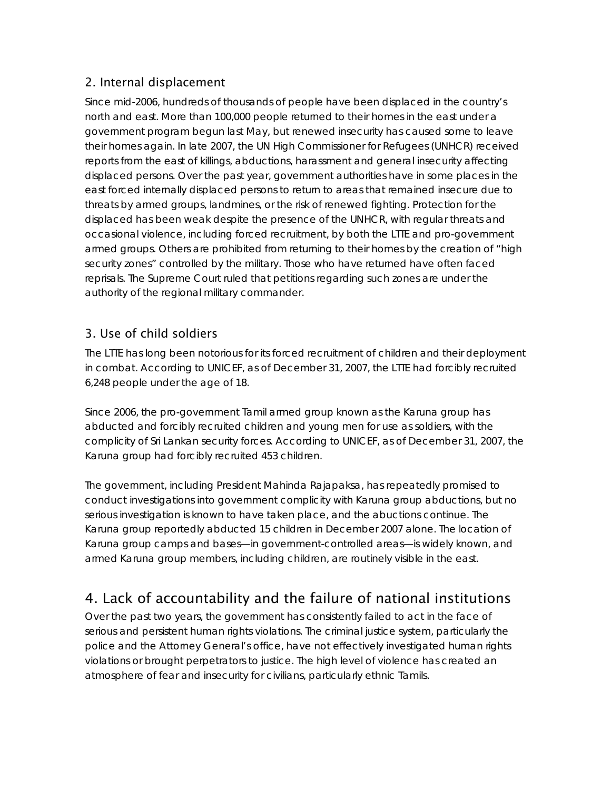# 2. Internal displacement

Since mid-2006, hundreds of thousands of people have been displaced in the country's north and east. More than 100,000 people returned to their homes in the east under a government program begun last May, but renewed insecurity has caused some to leave their homes again. In late 2007, the UN High Commissioner for Refugees (UNHCR) received reports from the east of killings, abductions, harassment and general insecurity affecting displaced persons. Over the past year, government authorities have in some places in the east forced internally displaced persons to return to areas that remained insecure due to threats by armed groups, landmines, or the risk of renewed fighting. Protection for the displaced has been weak despite the presence of the UNHCR, with regular threats and occasional violence, including forced recruitment, by both the LTTE and pro-government armed groups. Others are prohibited from returning to their homes by the creation of "high security zones" controlled by the military. Those who have returned have often faced reprisals. The Supreme Court ruled that petitions regarding such zones are under the authority of the regional military commander.

# 3. Use of child soldiers

The LTTE has long been notorious for its forced recruitment of children and their deployment in combat. According to UNICEF, as of December 31, 2007, the LTTE had forcibly recruited 6,248 people under the age of 18.

Since 2006, the pro-government Tamil armed group known as the Karuna group has abducted and forcibly recruited children and young men for use as soldiers, with the complicity of Sri Lankan security forces. According to UNICEF, as of December 31, 2007, the Karuna group had forcibly recruited 453 children.

The government, including President Mahinda Rajapaksa, has repeatedly promised to conduct investigations into government complicity with Karuna group abductions, but no serious investigation is known to have taken place, and the abuctions continue. The Karuna group reportedly abducted 15 children in December 2007 alone. The location of Karuna group camps and bases—in government-controlled areas—is widely known, and armed Karuna group members, including children, are routinely visible in the east.

# 4. Lack of accountability and the failure of national institutions

Over the past two years, the government has consistently failed to act in the face of serious and persistent human rights violations. The criminal justice system, particularly the police and the Attorney General's office, have not effectively investigated human rights violations or brought perpetrators to justice. The high level of violence has created an atmosphere of fear and insecurity for civilians, particularly ethnic Tamils.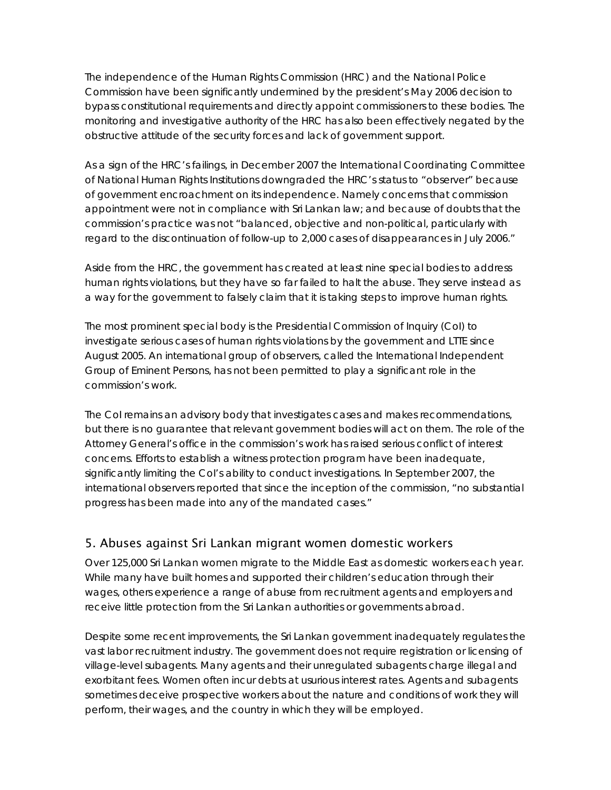The independence of the Human Rights Commission (HRC) and the National Police Commission have been significantly undermined by the president's May 2006 decision to bypass constitutional requirements and directly appoint commissioners to these bodies. The monitoring and investigative authority of the HRC has also been effectively negated by the obstructive attitude of the security forces and lack of government support.

As a sign of the HRC's failings, in December 2007 the International Coordinating Committee of National Human Rights Institutions downgraded the HRC's status to "observer" because of government encroachment on its independence. Namely concerns that commission appointment were not in compliance with Sri Lankan law; and because of doubts that the commission's practice was not "balanced, objective and non-political, particularly with regard to the discontinuation of follow-up to 2,000 cases of disappearances in July 2006."

Aside from the HRC, the government has created at least nine special bodies to address human rights violations, but they have so far failed to halt the abuse. They serve instead as a way for the government to falsely claim that it is taking steps to improve human rights.

The most prominent special body is the Presidential Commission of Inquiry (CoI) to investigate serious cases of human rights violations by the government and LTTE since August 2005. An international group of observers, called the International Independent Group of Eminent Persons, has not been permitted to play a significant role in the commission's work.

The CoI remains an advisory body that investigates cases and makes recommendations, but there is no guarantee that relevant government bodies will act on them. The role of the Attorney General's office in the commission's work has raised serious conflict of interest concerns. Efforts to establish a witness protection program have been inadequate, significantly limiting the CoI's ability to conduct investigations. In September 2007, the international observers reported that since the inception of the commission, "no substantial progress has been made into any of the mandated cases."

# 5. Abuses against Sri Lankan migrant women domestic workers

Over 125,000 Sri Lankan women migrate to the Middle East as domestic workers each year. While many have built homes and supported their children's education through their wages, others experience a range of abuse from recruitment agents and employers and receive little protection from the Sri Lankan authorities or governments abroad.

Despite some recent improvements, the Sri Lankan government inadequately regulates the vast labor recruitment industry. The government does not require registration or licensing of village-level subagents. Many agents and their unregulated subagents charge illegal and exorbitant fees. Women often incur debts at usurious interest rates. Agents and subagents sometimes deceive prospective workers about the nature and conditions of work they will perform, their wages, and the country in which they will be employed.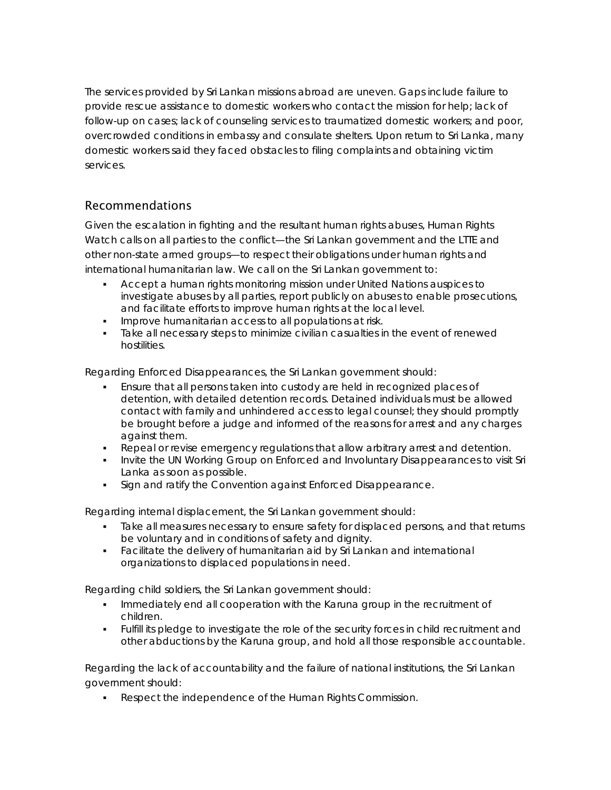The services provided by Sri Lankan missions abroad are uneven. Gaps include failure to provide rescue assistance to domestic workers who contact the mission for help; lack of follow-up on cases; lack of counseling services to traumatized domestic workers; and poor, overcrowded conditions in embassy and consulate shelters. Upon return to Sri Lanka, many domestic workers said they faced obstacles to filing complaints and obtaining victim services.

### Recommendations

Given the escalation in fighting and the resultant human rights abuses, Human Rights Watch calls on all parties to the conflict—the Sri Lankan government and the LTTE and other non-state armed groups—to respect their obligations under human rights and international humanitarian law. We call on the Sri Lankan government to:

- Accept a human rights monitoring mission under United Nations auspices to investigate abuses by all parties, report publicly on abuses to enable prosecutions, and facilitate efforts to improve human rights at the local level.
- Improve humanitarian access to all populations at risk.
- Take all necessary steps to minimize civilian casualties in the event of renewed hostilities.

#### *Regarding Enforced Disappearances, the Sri Lankan government should:*

- Ensure that all persons taken into custody are held in recognized places of detention, with detailed detention records. Detained individuals must be allowed contact with family and unhindered access to legal counsel; they should promptly be brought before a judge and informed of the reasons for arrest and any charges against them.
- Repeal or revise emergency regulations that allow arbitrary arrest and detention.
- Invite the UN Working Group on Enforced and Involuntary Disappearances to visit Sri Lanka as soon as possible.
- Sign and ratify the Convention against Enforced Disappearance.

#### *Regarding internal displacement, the Sri Lankan government should:*

- Take all measures necessary to ensure safety for displaced persons, and that returns be voluntary and in conditions of safety and dignity.
- Facilitate the delivery of humanitarian aid by Sri Lankan and international organizations to displaced populations in need.

#### *Regarding child soldiers, the Sri Lankan government should:*

- Immediately end all cooperation with the Karuna group in the recruitment of children.
- Fulfill its pledge to investigate the role of the security forces in child recruitment and other abductions by the Karuna group, and hold all those responsible accountable.

#### *Regarding the lack of accountability and the failure of national institutions, the Sri Lankan government should:*

Respect the independence of the Human Rights Commission.